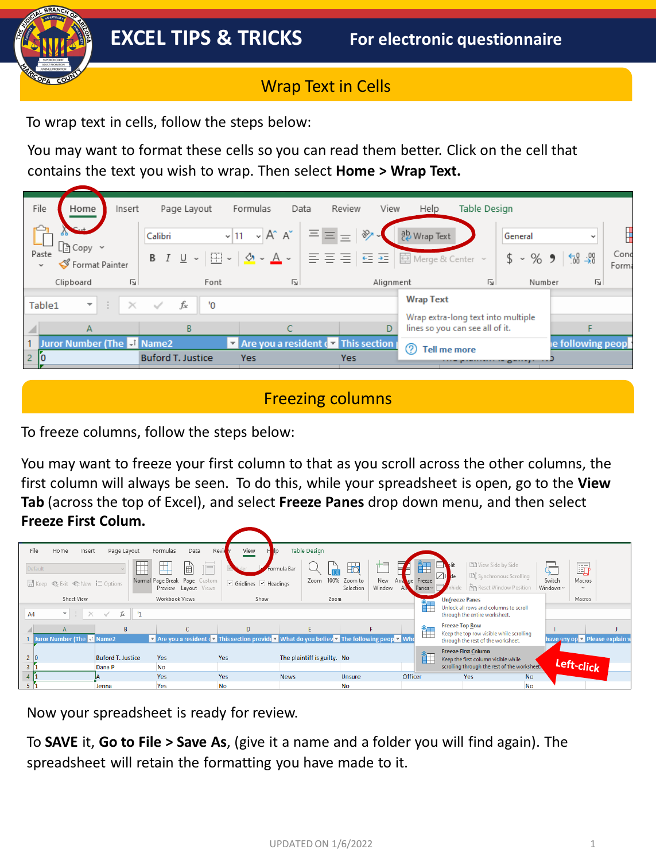# Wrap Text in Cells

To wrap text in cells, follow the steps below:

You may want to format these cells so you can read them better. Click on the cell that contains the text you wish to wrap. Then select **Home > Wrap Text.**

| File                  | Home                       | Insert                  |                          | Page Layout  | Formulas                                                 |                                    | Data | Review     | View      | Help                                                                  | Table Design   |                  |                              |                                        |
|-----------------------|----------------------------|-------------------------|--------------------------|--------------|----------------------------------------------------------|------------------------------------|------|------------|-----------|-----------------------------------------------------------------------|----------------|------------------|------------------------------|----------------------------------------|
| Paste<br>$\checkmark$ | Format Painter             |                         | Calibri<br>$B$ $I$       | $\mathbf{v}$ | $\sqrt{11}$<br>$\mathbf{v}$<br>$\Box \cdot \phi \cdot A$ | $A^* A^*$                          |      | 목 목 목 '또 표 | ≫         | <sup>일</sup> Wrap Text<br>国 Merge & Center ~                          |                | General<br>\$8.9 | $\xi_{00}^{0} \rightarrow 0$ | $\tilde{\phantom{a}}$<br>Conc<br>Forma |
|                       | Clipboard                  | $\overline{\mathbb{N}}$ |                          | Font         |                                                          | 同                                  |      |            | Alignment |                                                                       | $\overline{u}$ |                  | Number                       | $\overline{\mathbf{v}}$                |
| Table1                | ÷.                         | ÷<br>$\times$           | $\checkmark$             | fx<br>'О     |                                                          |                                    |      |            |           | <b>Wrap Text</b>                                                      |                |                  |                              |                                        |
|                       | A                          |                         |                          | B            |                                                          |                                    |      |            | D         | Wrap extra-long text into multiple<br>lines so you can see all of it. |                |                  |                              |                                        |
|                       | Juror Number (The tl Name2 |                         |                          |              |                                                          | Are you a resident of This section |      |            |           | 0<br><b>Tell me more</b>                                              |                |                  |                              | e following peop                       |
|                       |                            |                         | <b>Buford T. Justice</b> |              | <b>Yes</b>                                               |                                    |      | <b>Yes</b> |           |                                                                       |                | $O^{m+n}$        |                              |                                        |

## Freezing columns

To freeze columns, follow the steps below:

You may want to freeze your first column to that as you scroll across the other columns, the first column will always be seen. To do this, while your spreadsheet is open, go to the **View Tab** (across the top of Excel), and select **Freeze Panes** drop down menu, and then select **Freeze First Colum.**

| File<br>Home | Insert                                | Page Layout                | Formulas                                              | Data<br>Revie | View                                                                                  |             | <b>Table Design</b>         |                      |               |                        |                           |                       |                                                                        |           |                     |                                |
|--------------|---------------------------------------|----------------------------|-------------------------------------------------------|---------------|---------------------------------------------------------------------------------------|-------------|-----------------------------|----------------------|---------------|------------------------|---------------------------|-----------------------|------------------------------------------------------------------------|-----------|---------------------|--------------------------------|
| Default      |                                       |                            |                                                       | 围<br>Tİ       |                                                                                       | Formula Bar |                             | $\frac{1}{2}$        | +=            |                        | 钜                         |                       | <b>DD</b> View Side by Side<br>[D] Synchronous Scrolling               |           | F                   | G                              |
|              | □ Keep © Exit © New 三 Options         |                            | Normal Page Break Page Custom<br>Preview Layout Views |               | $\checkmark$ Gridlines $\checkmark$ Headings                                          |             | 100%<br>Zoom                | Zoom to<br>Selection | New<br>Window | Arra<br>A <sub>M</sub> | qe Freeze<br>Panes $\sim$ | hide                  | n Reset Window Position                                                |           | Switch<br>Windows ~ | Macros<br>$\checkmark$         |
|              | Sheet View                            |                            | Workbook Views                                        |               | Show                                                                                  |             | Zoom                        |                      |               |                        | 许                         | <b>Unfreeze Panes</b> |                                                                        |           |                     | Macros                         |
| A4           | $\mathbf{v} = \mathbf{i}$<br>$\times$ | - 11<br>$\checkmark$<br>Ťх |                                                       |               |                                                                                       |             |                             |                      |               |                        |                           |                       | Unlock all rows and columns to scroll<br>through the entire worksheet. |           |                     |                                |
|              |                                       | B                          |                                                       |               | D                                                                                     |             | F.                          |                      |               |                        | 許                         | <b>Freeze Top Row</b> | Keep the top row visible while scrolling                               |           |                     |                                |
|              | Juror Number (The J Name2             |                            |                                                       |               | The following peop This section provide T What do you believ The following peop T Who |             |                             |                      |               |                        |                           |                       | through the rest of the worksheet.                                     |           |                     | have any op v Please explain \ |
| ١o           |                                       | <b>Buford T. Justice</b>   | Yes                                                   | <b>Yes</b>    |                                                                                       |             | The plaintiff is guilty. No |                      |               |                        | 許                         |                       | <b>Freeze First Column</b><br>Keep the first column visible while      |           |                     |                                |
|              |                                       | Dana P                     | <b>No</b>                                             |               |                                                                                       |             |                             |                      |               |                        |                           |                       | scrolling through the rest of the worksheet.                           |           |                     | Left-click                     |
|              |                                       |                            | Yes                                                   | <b>Yes</b>    |                                                                                       | <b>News</b> |                             | <b>Unsure</b>        |               | Officer                |                           |                       | Yes                                                                    | <b>No</b> |                     |                                |
|              |                                       | Jenna                      | Yes                                                   | <b>No</b>     |                                                                                       |             |                             | <b>No</b>            |               |                        |                           |                       |                                                                        | <b>No</b> |                     |                                |

Now your spreadsheet is ready for review.

To **SAVE** it, **Go to File > Save As**, (give it a name and a folder you will find again). The spreadsheet will retain the formatting you have made to it.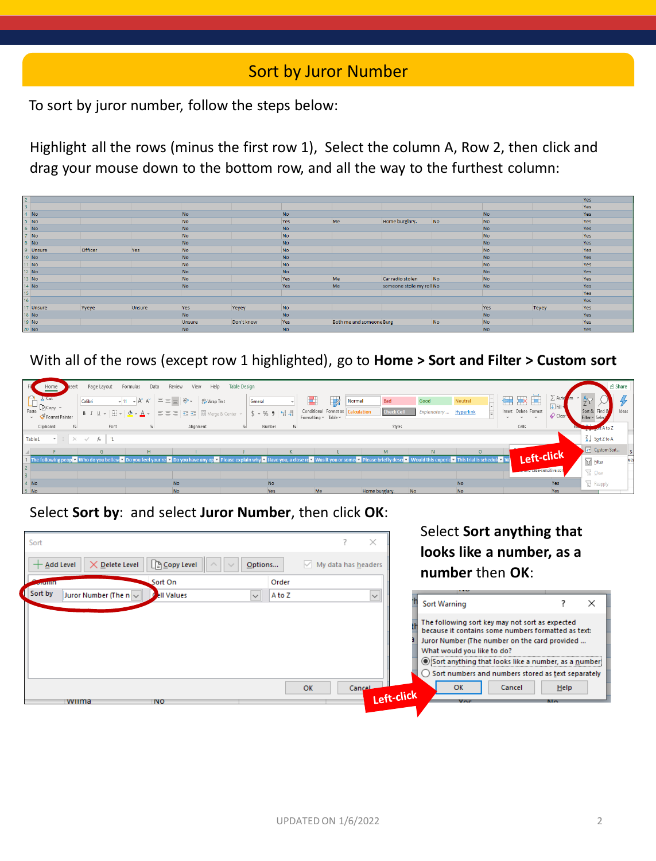### Sort by Juror Number

To sort by juror number, follow the steps below:

Highlight all the rows (minus the first row 1), Select the column A, Row 2, then click and drag your mouse down to the bottom row, and all the way to the furthest column:

| $2^{\circ}$             |                                                                                            |         |        |           |            |           |                          |                          |                |           |       | Yes |
|-------------------------|--------------------------------------------------------------------------------------------|---------|--------|-----------|------------|-----------|--------------------------|--------------------------|----------------|-----------|-------|-----|
| $\overline{\mathbf{3}}$ |                                                                                            |         |        |           |            |           |                          |                          |                |           |       | Yes |
|                         | $4$ No                                                                                     |         |        | <b>No</b> |            | <b>No</b> |                          |                          |                | <b>No</b> |       | Yes |
|                         | $5$ No                                                                                     |         |        | No        |            | Yes       | Me                       | Home burglary.           | N <sub>O</sub> | <b>No</b> |       | Yes |
|                         | $6$ No                                                                                     |         |        | <b>No</b> |            | <b>No</b> |                          |                          |                | <b>No</b> |       | Yes |
|                         |                                                                                            |         |        | No        |            | No        |                          |                          |                | No        |       | Yes |
|                         | $\begin{array}{c c} 7 & \text{No} \\ \hline 8 & \text{No} \end{array}$                     |         |        | <b>No</b> |            | <b>No</b> |                          |                          |                | <b>No</b> |       | Yes |
|                         | 9 Unsure                                                                                   | Officer | Yes    | No        |            | No        |                          |                          |                | No        |       | Yes |
|                         | 10 No                                                                                      |         |        | <b>No</b> |            | <b>No</b> |                          |                          |                | <b>No</b> |       | Yes |
|                         | 11 No                                                                                      |         |        | <b>No</b> |            | No        |                          |                          |                | No        |       | Yes |
|                         | 12 No                                                                                      |         |        | <b>No</b> |            | <b>No</b> |                          |                          |                | <b>No</b> |       | Yes |
|                         | 13 No                                                                                      |         |        | No        |            | Yes       | Me                       | Car radio stolen         | No             | <b>No</b> |       | Yes |
|                         | 14 No                                                                                      |         |        | <b>No</b> |            | Yes       | Me                       | someone stole my roll No |                | <b>No</b> |       | Yes |
|                         |                                                                                            |         |        |           |            |           |                          |                          |                |           |       | Yes |
| $\frac{15}{16}$         |                                                                                            |         |        |           |            |           |                          |                          |                |           |       | Yes |
|                         | 17 Unsure                                                                                  | Yyeye   | Unsure | Yes       | Yeyey      | No        |                          |                          |                | Yes       | Teyey | Yes |
|                         |                                                                                            |         |        | <b>No</b> |            | <b>No</b> |                          |                          |                | <b>No</b> |       | Yes |
|                         | $\begin{array}{ c c } \hline 18 & \text{No} \\ \hline 19 & \text{No} \\\hline \end{array}$ |         |        | Unsure    | Don't know | Yes       | Both me and someone Burg |                          | N <sub>o</sub> | No        |       | Yes |
|                         | 20 No                                                                                      |         |        | <b>No</b> |            | <b>No</b> |                          |                          |                | <b>No</b> |       | Yes |

With all of the rows (except row 1 highlighted), go to **Home > Sort and Filter > Custom sort**

| Home                                                                            | hsert                   | Page Layout                | Formulas                 | Review<br>Data | Help<br>View           | Table Design   |              |                |                                               |                                                                                                                                                                                                                               |                   |                       |           |        |                                                |                    | <b>ீ</b> Share                   |       |
|---------------------------------------------------------------------------------|-------------------------|----------------------------|--------------------------|----------------|------------------------|----------------|--------------|----------------|-----------------------------------------------|-------------------------------------------------------------------------------------------------------------------------------------------------------------------------------------------------------------------------------|-------------------|-----------------------|-----------|--------|------------------------------------------------|--------------------|----------------------------------|-------|
| $\mathbb{P}$<br>$\lambda$ Cut                                                   |                         | Calibri                    | $\sqrt{11}$ $\sqrt{4}$ A | 목보다            | $82 -$<br>ab Wrap Text |                | General      |                | 动<br>н                                        | <b>Normal</b>                                                                                                                                                                                                                 | Bad               | Good                  | Neutral   |        |                                                | $\nabla$ Fill      |                                  |       |
| $L$ $\Box$ $\Box$ $\Box$ $\Box$ $\Box$ $\Box$ $\Box$<br>Paste<br>Format Painter |                         | <b>B</b> <i>I</i> U $\sim$ |                          |                | $\sqrt{4\pi}$          | Merge & Center | $$ - % 9 60$ |                | Conditional Format as<br>Formatting v Table v | <b>Calculation</b>                                                                                                                                                                                                            | <b>Check Cell</b> | Explanatory Hyperlink |           | $\sim$ | Insert Delete Format<br>$\mathbf{v}$<br>$\sim$ | Clear <sup>1</sup> | Sort & Find &<br>Filter v Select | Ideas |
| Clipboard                                                                       | $\sqrt{2}$              | Font                       |                          | $\overline{N}$ | Alignment              | $\overline{2}$ | Number       | $\overline{N}$ |                                               |                                                                                                                                                                                                                               | Styles            |                       |           |        | Cells                                          |                    | $2 + 1$ of A to Z                |       |
| Table1                                                                          | $\mathbf{v}$ : $\times$ | $f_x$   1<br>$\checkmark$  |                          |                |                        |                |              |                |                                               |                                                                                                                                                                                                                               |                   |                       |           |        |                                                |                    | $\frac{Z}{A}$ Sort Z to A        |       |
|                                                                                 |                         | G                          |                          | H              |                        |                |              |                |                                               |                                                                                                                                                                                                                               | M                 |                       | $\Omega$  |        |                                                |                    | Gr Custom Sort                   |       |
|                                                                                 |                         |                            |                          |                |                        |                |              |                |                                               | Expediation of the domain of the set of the filth of the set of the set of the and out on the any op y Please explain why y Have you, a close re y lass it you or some y Please briefly described y a Would this experie y Th |                   |                       |           |        | Left-click                                     |                    | $\nabla$ Eilter                  |       |
|                                                                                 |                         |                            |                          |                |                        |                |              |                |                                               |                                                                                                                                                                                                                               |                   |                       |           |        | <b>Le entre case-sensitive son</b>             |                    | $\sum_{X}$ Clear                 |       |
| : No                                                                            |                         |                            |                          |                | <b>No</b>              |                | <b>No</b>    |                |                                               |                                                                                                                                                                                                                               |                   |                       | <b>No</b> |        |                                                | Yes                | <b>B</b> Reapply                 |       |
| $5$ No                                                                          |                         |                            |                          |                | <b>No</b>              |                | Yes          |                | Me                                            | Home burglary.                                                                                                                                                                                                                | No                |                       | No        |        |                                                | Yes                |                                  |       |

Select **Sort by**: and select **Juror Number**, then click **OK**:

| Sort<br>$\Box$ Copy Level<br>$\times$ Delete Level<br>$+$ Add Level                         | $\times$<br>$\vee$ My data has headers<br>Options | Select Sort anything that<br>looks like a number, as a<br>number then OK:                                                                                                                                                                                                                                                    |
|---------------------------------------------------------------------------------------------|---------------------------------------------------|------------------------------------------------------------------------------------------------------------------------------------------------------------------------------------------------------------------------------------------------------------------------------------------------------------------------------|
| Sort On<br><b>Second T</b><br>Sort by<br>Juror Number (The $n \sim 1$<br><b>Cell Values</b> | Order<br>A to Z<br>$\checkmark$<br>$\checkmark$   | .<br>×<br>Sort Warning<br>The following sort key may not sort as expected<br>because it contains some numbers formatted as text:<br>Juror Number (The number on the card provided<br>What would you like to do?<br>Sort anything that looks like a number, as a number<br>Sort numbers and numbers stored as text separately |
| <b>NO</b><br>wiima                                                                          | OK<br>Cancel                                      | <b>OK</b><br><b>Help</b><br>Cancel<br>Left-click<br>Voc                                                                                                                                                                                                                                                                      |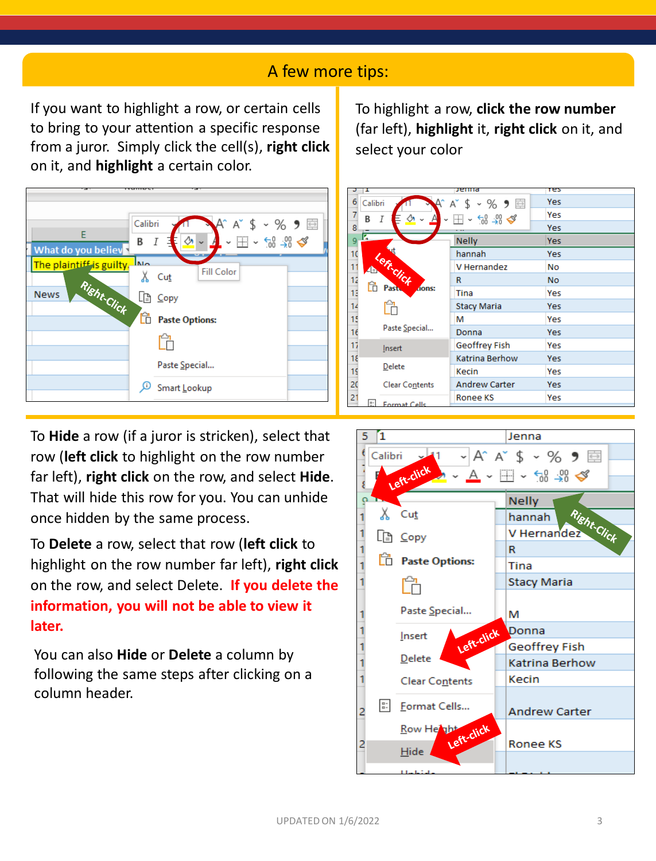### A few more tips:

If you want to highlight a row, or certain cells to bring to your attention a specific response from a juror. Simply click the cell(s), **right click**  on it, and **highlight** a certain color.

To highlight a row, **click the row number**  (far left), **highlight** it, **right click** on it, and select your color



To **Hide** a row (if a juror is stricken), select that row (**left click** to highlight on the row number far left), **right click** on the row, and select **Hide**. That will hide this row for you. You can unhide once hidden by the same process.

To **Delete** a row, select that row (**left click** to highlight on the row number far left), **right click**  on the row, and select Delete. **If you delete the information, you will not be able to view it later.** 

You can also **Hide** or **Delete** a column by following the same steps after clicking on a column header.

| I                                                          | Jenna                                                     | res       |
|------------------------------------------------------------|-----------------------------------------------------------|-----------|
| 6<br>Calibri                                               | A゙\$ ∽ % ラ 国                                              | Yes       |
| 7<br>B                                                     | $\Box$ $\sim$ $\frac{10}{10}$ $\frac{10}{10}$ $\triangle$ | Yes       |
| 8                                                          |                                                           | Yes       |
| г,<br>9                                                    | <b>Nelly</b>                                              | Yes       |
| $\frac{10}{11}$                                            | hannah                                                    | Yes       |
| <b>Sticlick</b>                                            | V Hernandez                                               | No        |
|                                                            | R                                                         | <b>No</b> |
| $\begin{array}{c}\n 12 \\ 13 \\ \hline\n 14\n \end{array}$ | dons:<br>Tina                                             | Yes       |
|                                                            | Stacy Maria                                               | Yes       |
| 15                                                         | м                                                         | Yes       |
| Paste Special<br>$\frac{16}{17}$                           | Donna                                                     | Yes       |
| Insert                                                     | Geoffrey Fish                                             | Yes       |
| 18                                                         | Katrina Berhow                                            | Yes       |
| Delete<br>$\frac{19}{20}$                                  | Kecin                                                     | Yes       |
| Clear Contents                                             | <b>Andrew Carter</b>                                      | Yes       |
| $\overline{21}$<br>$\frac{a}{n}$<br>Format Cells           | Ronee KS                                                  | Yes       |